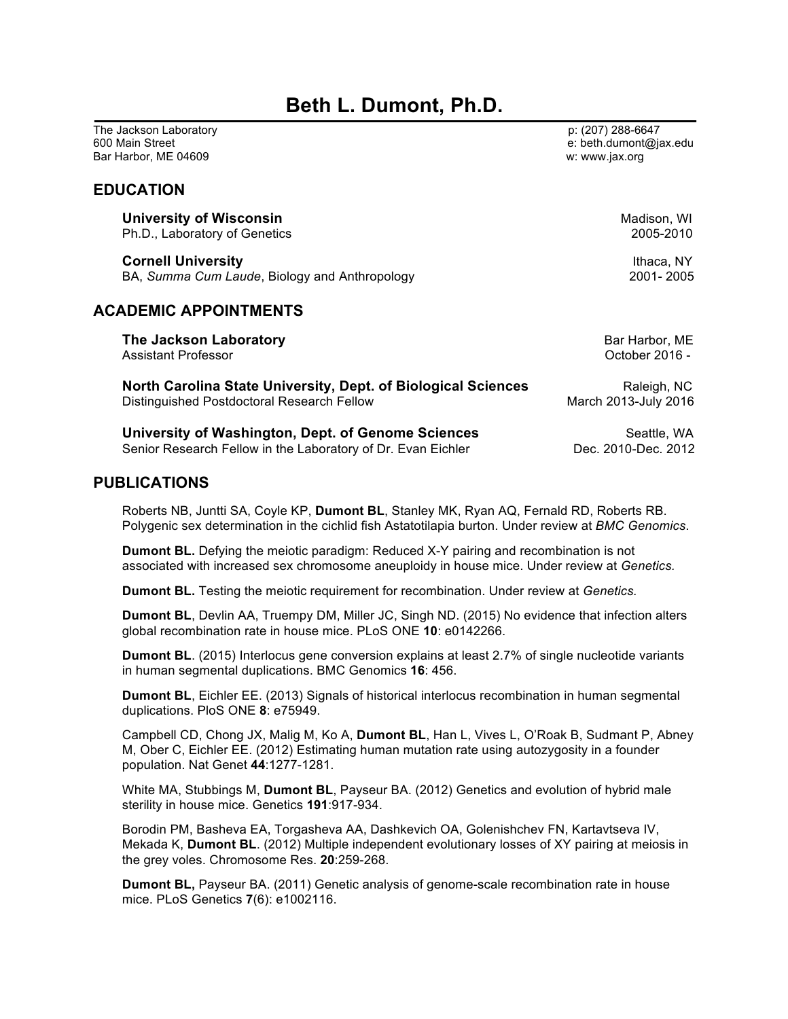# **Beth L. Dumont, Ph.D.**

The Jackson Laboratory **Proposed and Contract Contract Contract Contract Contract Contract Contract Contract Contract Contract Contract Contract Contract Contract Contract Contract Contract Contract Contract Contract Contr** 600 Main Street e: beth.dumont@jax.edu Bar Harbor, ME 04609 w: www.jax.org

## **EDUCATION**

Ph.D., Laboratory of Genetics **Cornell University Ithaca, NY** BA, *Summa Cum Laude*, Biology and Anthropology 2001- 2005

## **ACADEMIC APPOINTMENTS**

**The Jackson Laboratory Bar Harbor, ME Bar Harbor, ME** Assistant Professor October 2016 - **North Carolina State University, Dept. of Biological Sciences Raleigh, NC** Distinguished Postdoctoral Research Fellow March 2013-July 2016 **University of Washington, Dept. of Genome Sciences** Seattle, WA

Senior Research Fellow in the Laboratory of Dr. Evan Eichler **Dec. 2010-Dec. 2012** 

## **PUBLICATIONS**

Roberts NB, Juntti SA, Coyle KP, **Dumont BL**, Stanley MK, Ryan AQ, Fernald RD, Roberts RB. Polygenic sex determination in the cichlid fish Astatotilapia burton. Under review at *BMC Genomics*.

**Dumont BL.** Defying the meiotic paradigm: Reduced X-Y pairing and recombination is not associated with increased sex chromosome aneuploidy in house mice. Under review at *Genetics.*

**Dumont BL.** Testing the meiotic requirement for recombination. Under review at *Genetics.*

**Dumont BL**, Devlin AA, Truempy DM, Miller JC, Singh ND. (2015) No evidence that infection alters global recombination rate in house mice. PLoS ONE **10**: e0142266.

**Dumont BL**. (2015) Interlocus gene conversion explains at least 2.7% of single nucleotide variants in human segmental duplications. BMC Genomics **16**: 456.

**Dumont BL**, Eichler EE. (2013) Signals of historical interlocus recombination in human segmental duplications. PloS ONE **8**: e75949.

Campbell CD, Chong JX, Malig M, Ko A, **Dumont BL**, Han L, Vives L, O'Roak B, Sudmant P, Abney M, Ober C, Eichler EE. (2012) Estimating human mutation rate using autozygosity in a founder population. Nat Genet **44**:1277-1281.

White MA, Stubbings M, **Dumont BL**, Payseur BA. (2012) Genetics and evolution of hybrid male sterility in house mice. Genetics **191**:917-934.

Borodin PM, Basheva EA, Torgasheva AA, Dashkevich OA, Golenishchev FN, Kartavtseva IV, Mekada K, **Dumont BL**. (2012) Multiple independent evolutionary losses of XY pairing at meiosis in the grey voles. Chromosome Res. **20**:259-268.

**Dumont BL,** Payseur BA. (2011) Genetic analysis of genome-scale recombination rate in house mice. PLoS Genetics **7**(6): e1002116.

**University of Wisconsin**<br>Ph.D., Laboratory of Genetics and Madison, WI and Madison, WI and Madison, WI and Madison, WI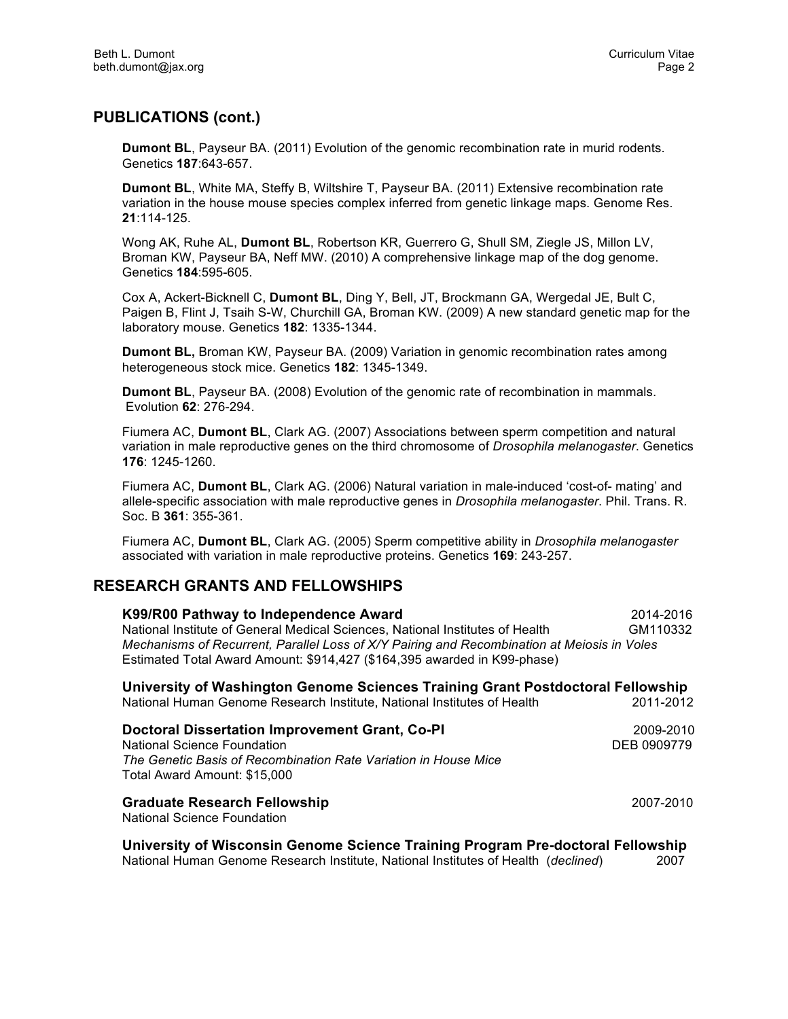## **PUBLICATIONS (cont.)**

**Dumont BL**, Payseur BA. (2011) Evolution of the genomic recombination rate in murid rodents. Genetics **187**:643-657.

**Dumont BL**, White MA, Steffy B, Wiltshire T, Payseur BA. (2011) Extensive recombination rate variation in the house mouse species complex inferred from genetic linkage maps. Genome Res. **21**:114-125.

Wong AK, Ruhe AL, **Dumont BL**, Robertson KR, Guerrero G, Shull SM, Ziegle JS, Millon LV, Broman KW, Payseur BA, Neff MW. (2010) A comprehensive linkage map of the dog genome. Genetics **184**:595-605.

Cox A, Ackert-Bicknell C, **Dumont BL**, Ding Y, Bell, JT, Brockmann GA, Wergedal JE, Bult C, Paigen B, Flint J, Tsaih S-W, Churchill GA, Broman KW. (2009) A new standard genetic map for the laboratory mouse. Genetics **182**: 1335-1344.

**Dumont BL,** Broman KW, Payseur BA. (2009) Variation in genomic recombination rates among heterogeneous stock mice. Genetics **182**: 1345-1349.

**Dumont BL**, Payseur BA. (2008) Evolution of the genomic rate of recombination in mammals. Evolution **62**: 276-294.

Fiumera AC, **Dumont BL**, Clark AG. (2007) Associations between sperm competition and natural variation in male reproductive genes on the third chromosome of *Drosophila melanogaster*. Genetics **176**: 1245-1260.

Fiumera AC, **Dumont BL**, Clark AG. (2006) Natural variation in male-induced 'cost-of- mating' and allele-specific association with male reproductive genes in *Drosophila melanogaster*. Phil. Trans. R. Soc. B **361**: 355-361.

Fiumera AC, **Dumont BL**, Clark AG. (2005) Sperm competitive ability in *Drosophila melanogaster* associated with variation in male reproductive proteins. Genetics **169**: 243-257.

## **RESEARCH GRANTS AND FELLOWSHIPS**

| K99/R00 Pathway to Independence Award<br>National Institute of General Medical Sciences, National Institutes of Health<br>Mechanisms of Recurrent, Parallel Loss of X/Y Pairing and Recombination at Meiosis in Voles                  | 2014-2016<br>GM110332 |
|----------------------------------------------------------------------------------------------------------------------------------------------------------------------------------------------------------------------------------------|-----------------------|
| Estimated Total Award Amount: \$914,427 (\$164,395 awarded in K99-phase)<br>University of Washington Genome Sciences Training Grant Postdoctoral Fellowship<br>National Human Genome Research Institute, National Institutes of Health | 2011-2012             |

| Doctoral Dissertation Improvement Grant, Co-PI<br><b>National Science Foundation</b><br>The Genetic Basis of Recombination Rate Variation in House Mice<br>Total Award Amount: \$15,000 | 2009-2010<br>DEB 0909779 |
|-----------------------------------------------------------------------------------------------------------------------------------------------------------------------------------------|--------------------------|
| <b>Graduate Research Fellowship</b>                                                                                                                                                     | 2007-2010                |

National Science Foundation

**University of Wisconsin Genome Science Training Program Pre-doctoral Fellowship** National Human Genome Research Institute, National Institutes of Health (*declined*) 2007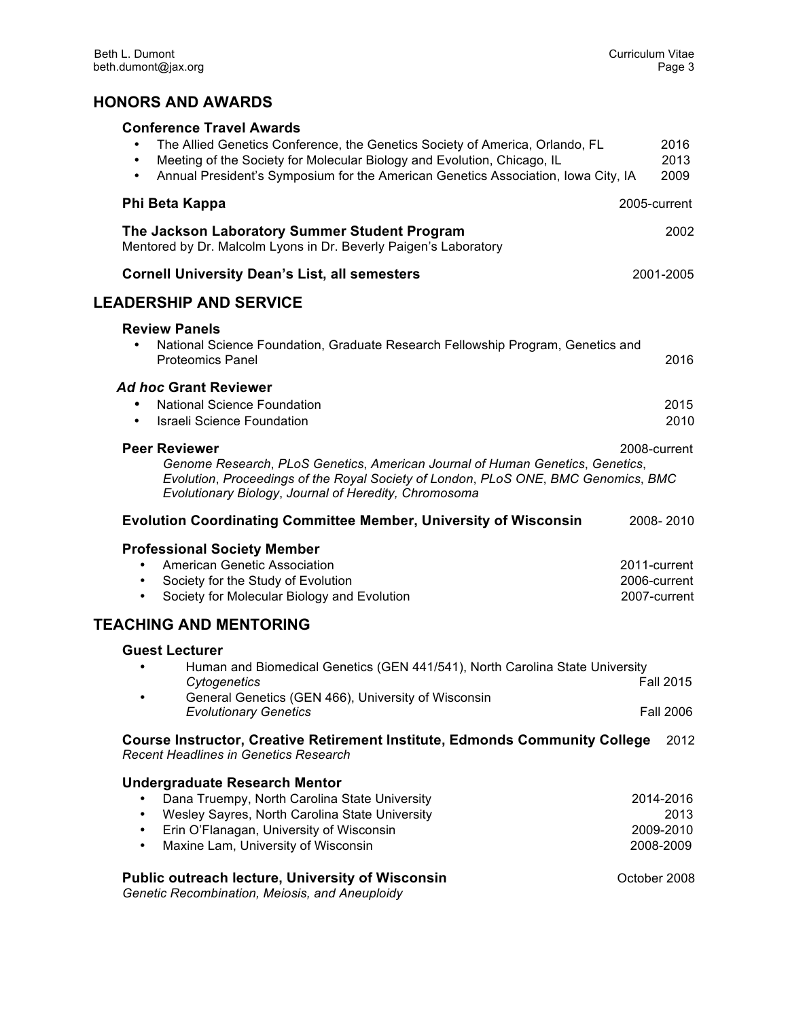## **HONORS AND AWARDS**

| <b>Conference Travel Awards</b><br>The Allied Genetics Conference, the Genetics Society of America, Orlando, FL<br>Meeting of the Society for Molecular Biology and Evolution, Chicago, IL<br>$\bullet$<br>Annual President's Symposium for the American Genetics Association, Iowa City, IA<br>$\bullet$                                                                      | 2016<br>2013<br>2009                                        |
|--------------------------------------------------------------------------------------------------------------------------------------------------------------------------------------------------------------------------------------------------------------------------------------------------------------------------------------------------------------------------------|-------------------------------------------------------------|
| Phi Beta Kappa                                                                                                                                                                                                                                                                                                                                                                 | 2005-current                                                |
| The Jackson Laboratory Summer Student Program<br>Mentored by Dr. Malcolm Lyons in Dr. Beverly Paigen's Laboratory                                                                                                                                                                                                                                                              | 2002                                                        |
| <b>Cornell University Dean's List, all semesters</b>                                                                                                                                                                                                                                                                                                                           | 2001-2005                                                   |
| <b>LEADERSHIP AND SERVICE</b>                                                                                                                                                                                                                                                                                                                                                  |                                                             |
| <b>Review Panels</b><br>National Science Foundation, Graduate Research Fellowship Program, Genetics and<br>$\bullet$<br><b>Proteomics Panel</b>                                                                                                                                                                                                                                | 2016                                                        |
| <b>Ad hoc Grant Reviewer</b><br><b>National Science Foundation</b><br><b>Israeli Science Foundation</b><br>$\bullet$                                                                                                                                                                                                                                                           | 2015<br>2010                                                |
| <b>Peer Reviewer</b><br>Genome Research, PLoS Genetics, American Journal of Human Genetics, Genetics,<br>Evolution, Proceedings of the Royal Society of London, PLoS ONE, BMC Genomics, BMC<br>Evolutionary Biology, Journal of Heredity, Chromosoma                                                                                                                           | 2008-current                                                |
| <b>Evolution Coordinating Committee Member, University of Wisconsin</b>                                                                                                                                                                                                                                                                                                        | 2008-2010                                                   |
| <b>Professional Society Member</b><br>American Genetic Association<br>Society for the Study of Evolution<br>Society for Molecular Biology and Evolution<br>$\bullet$                                                                                                                                                                                                           | 2011-current<br>2006-current<br>2007-current                |
| <b>TEACHING AND MENTORING</b>                                                                                                                                                                                                                                                                                                                                                  |                                                             |
| <b>Guest Lecturer</b><br>Human and Biomedical Genetics (GEN 441/541), North Carolina State University<br>Cytogenetics<br>General Genetics (GEN 466), University of Wisconsin<br>$\bullet$<br><b>Evolutionary Genetics</b>                                                                                                                                                      | <b>Fall 2015</b><br><b>Fall 2006</b>                        |
| <b>Course Instructor, Creative Retirement Institute, Edmonds Community College</b><br><b>Recent Headlines in Genetics Research</b>                                                                                                                                                                                                                                             | 2012                                                        |
| <b>Undergraduate Research Mentor</b><br>Dana Truempy, North Carolina State University<br>Wesley Sayres, North Carolina State University<br>$\bullet$<br>Erin O'Flanagan, University of Wisconsin<br>$\bullet$<br>Maxine Lam, University of Wisconsin<br>$\bullet$<br><b>Public outreach lecture, University of Wisconsin</b><br>Genetic Recombination, Meiosis, and Aneuploidy | 2014-2016<br>2013<br>2009-2010<br>2008-2009<br>October 2008 |